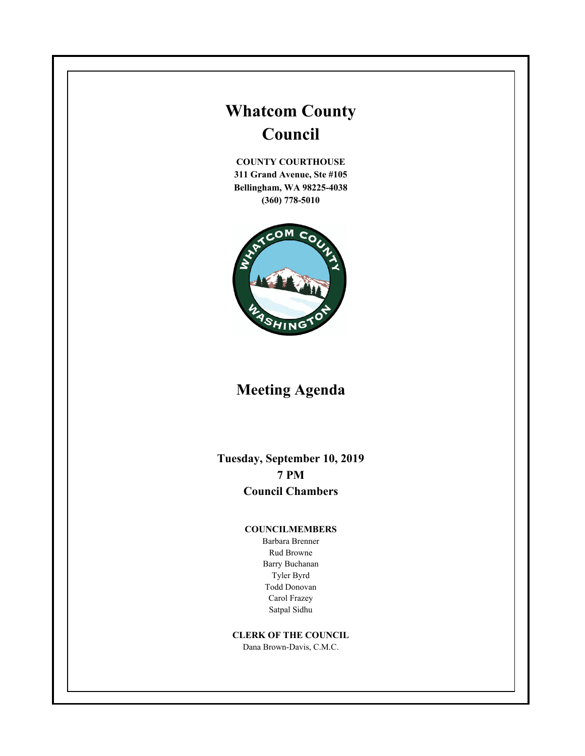# **Whatcom County Council**

**COUNTY COURTHOUSE 311 Grand Avenue, Ste #105 Bellingham, WA 98225-4038 (360) 778-5010**



## **Meeting Agenda**

**Tuesday, September 10, 2019 7 PM Council Chambers**

#### **COUNCILMEMBERS**

Barbara Brenner Rud Browne Barry Buchanan Tyler Byrd Todd Donovan Carol Frazey Satpal Sidhu

#### **CLERK OF THE COUNCIL**

Dana Brown-Davis, C.M.C.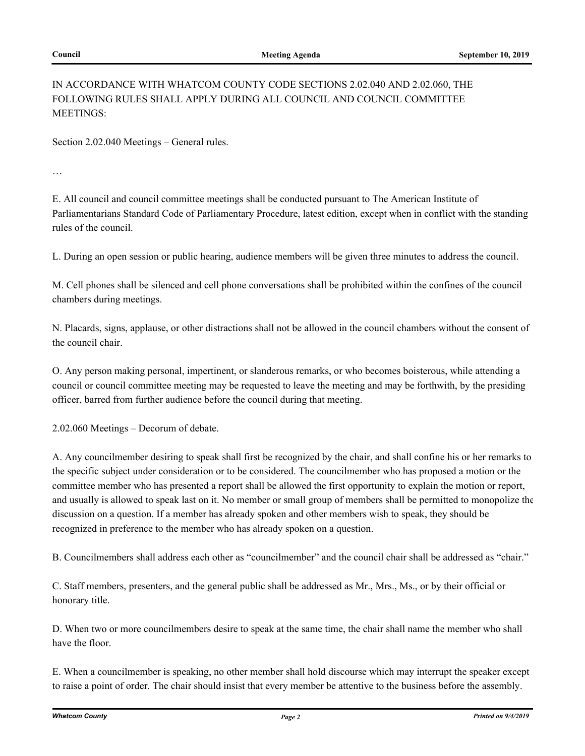## IN ACCORDANCE WITH WHATCOM COUNTY CODE SECTIONS 2.02.040 AND 2.02.060, THE FOLLOWING RULES SHALL APPLY DURING ALL COUNCIL AND COUNCIL COMMITTEE MEETINGS:

Section 2.02.040 Meetings – General rules.

…

E. All council and council committee meetings shall be conducted pursuant to The American Institute of Parliamentarians Standard Code of Parliamentary Procedure, latest edition, except when in conflict with the standing rules of the council.

L. During an open session or public hearing, audience members will be given three minutes to address the council.

M. Cell phones shall be silenced and cell phone conversations shall be prohibited within the confines of the council chambers during meetings.

N. Placards, signs, applause, or other distractions shall not be allowed in the council chambers without the consent of the council chair.

O. Any person making personal, impertinent, or slanderous remarks, or who becomes boisterous, while attending a council or council committee meeting may be requested to leave the meeting and may be forthwith, by the presiding officer, barred from further audience before the council during that meeting.

2.02.060 Meetings – Decorum of debate.

A. Any councilmember desiring to speak shall first be recognized by the chair, and shall confine his or her remarks to the specific subject under consideration or to be considered. The councilmember who has proposed a motion or the committee member who has presented a report shall be allowed the first opportunity to explain the motion or report, and usually is allowed to speak last on it. No member or small group of members shall be permitted to monopolize the discussion on a question. If a member has already spoken and other members wish to speak, they should be recognized in preference to the member who has already spoken on a question.

B. Councilmembers shall address each other as "councilmember" and the council chair shall be addressed as "chair."

C. Staff members, presenters, and the general public shall be addressed as Mr., Mrs., Ms., or by their official or honorary title.

D. When two or more councilmembers desire to speak at the same time, the chair shall name the member who shall have the floor.

E. When a councilmember is speaking, no other member shall hold discourse which may interrupt the speaker except to raise a point of order. The chair should insist that every member be attentive to the business before the assembly.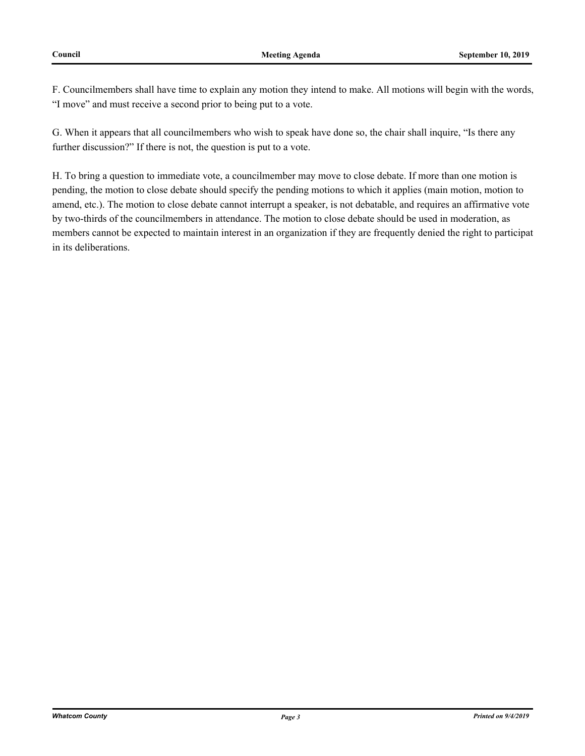F. Councilmembers shall have time to explain any motion they intend to make. All motions will begin with the words, "I move" and must receive a second prior to being put to a vote.

G. When it appears that all councilmembers who wish to speak have done so, the chair shall inquire, "Is there any further discussion?" If there is not, the question is put to a vote.

H. To bring a question to immediate vote, a councilmember may move to close debate. If more than one motion is pending, the motion to close debate should specify the pending motions to which it applies (main motion, motion to amend, etc.). The motion to close debate cannot interrupt a speaker, is not debatable, and requires an affirmative vote by two-thirds of the councilmembers in attendance. The motion to close debate should be used in moderation, as members cannot be expected to maintain interest in an organization if they are frequently denied the right to participat in its deliberations.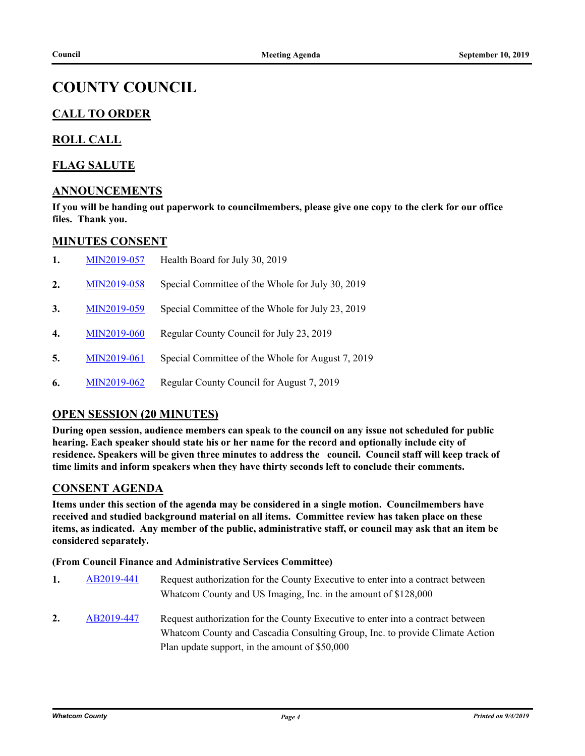## **COUNTY COUNCIL**

## **CALL TO ORDER**

### **ROLL CALL**

### **FLAG SALUTE**

#### **ANNOUNCEMENTS**

**If you will be handing out paperwork to councilmembers, please give one copy to the clerk for our office files. Thank you.**

#### **MINUTES CONSENT**

| 1.               | MIN2019-057 | Health Board for July 30, 2019                    |
|------------------|-------------|---------------------------------------------------|
| 2.               | MIN2019-058 | Special Committee of the Whole for July 30, 2019  |
| 3.               | MIN2019-059 | Special Committee of the Whole for July 23, 2019  |
| $\overline{4}$ . | MIN2019-060 | Regular County Council for July 23, 2019          |
| 5.               | MIN2019-061 | Special Committee of the Whole for August 7, 2019 |
| 6.               | MIN2019-062 | Regular County Council for August 7, 2019         |

## **OPEN SESSION (20 MINUTES)**

**During open session, audience members can speak to the council on any issue not scheduled for public hearing. Each speaker should state his or her name for the record and optionally include city of residence. Speakers will be given three minutes to address the council. Council staff will keep track of time limits and inform speakers when they have thirty seconds left to conclude their comments.**

#### **CONSENT AGENDA**

**Items under this section of the agenda may be considered in a single motion. Councilmembers have received and studied background material on all items. Committee review has taken place on these items, as indicated. Any member of the public, administrative staff, or council may ask that an item be considered separately.**

#### **(From Council Finance and Administrative Services Committee)**

- **1.** [AB2019-441](http://whatcom.legistar.com/gateway.aspx?m=l&id=/matter.aspx?key=2498) Request authorization for the County Executive to enter into a contract between Whatcom County and US Imaging, Inc. in the amount of \$128,000
- **2.** [AB2019-447](http://whatcom.legistar.com/gateway.aspx?m=l&id=/matter.aspx?key=2504) Request authorization for the County Executive to enter into a contract between Whatcom County and Cascadia Consulting Group, Inc. to provide Climate Action Plan update support, in the amount of \$50,000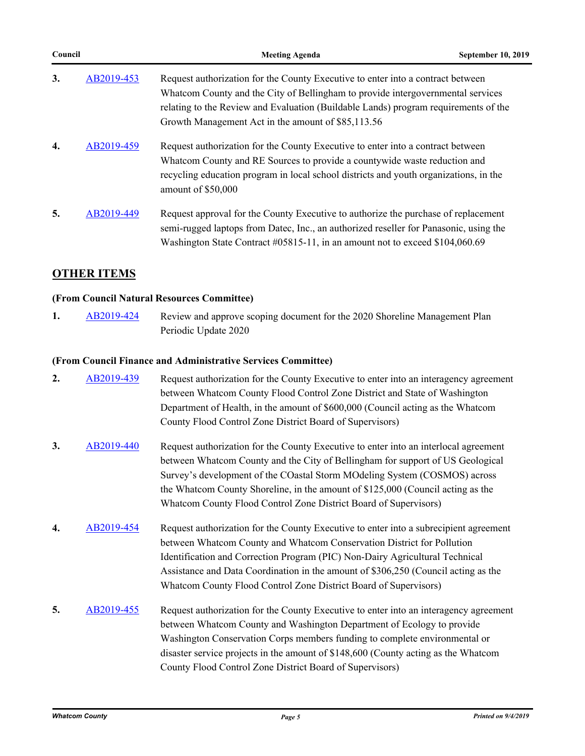| Council |            | <b>Meeting Agenda</b>                                                                                                                                                                                                                                                                                           | <b>September 10, 2019</b> |
|---------|------------|-----------------------------------------------------------------------------------------------------------------------------------------------------------------------------------------------------------------------------------------------------------------------------------------------------------------|---------------------------|
| 3.      | AB2019-453 | Request authorization for the County Executive to enter into a contract between<br>Whatcom County and the City of Bellingham to provide intergovernmental services<br>relating to the Review and Evaluation (Buildable Lands) program requirements of the<br>Growth Management Act in the amount of \$85,113.56 |                           |
| 4.      | AB2019-459 | Request authorization for the County Executive to enter into a contract between<br>Whatcom County and RE Sources to provide a countywide waste reduction and<br>recycling education program in local school districts and youth organizations, in the<br>amount of \$50,000                                     |                           |
| 5.      | AB2019-449 | Request approval for the County Executive to authorize the purchase of replacement<br>semi-rugged laptops from Datec, Inc., an authorized reseller for Panasonic, using the<br>Washington State Contract #05815-11, in an amount not to exceed \$104,060.69                                                     |                           |

## **OTHER ITEMS**

#### **(From Council Natural Resources Committee)**

1. [AB2019-424](http://whatcom.legistar.com/gateway.aspx?m=l&id=/matter.aspx?key=2475) Review and approve scoping document for the 2020 Shoreline Management Plan Periodic Update 2020

#### **(From Council Finance and Administrative Services Committee)**

| 2. | AB2019-439 | Request authorization for the County Executive to enter into an interagency agreement<br>between Whatcom County Flood Control Zone District and State of Washington<br>Department of Health, in the amount of \$600,000 (Council acting as the Whatcom<br>County Flood Control Zone District Board of Supervisors)                                                                                         |
|----|------------|------------------------------------------------------------------------------------------------------------------------------------------------------------------------------------------------------------------------------------------------------------------------------------------------------------------------------------------------------------------------------------------------------------|
| 3. | AB2019-440 | Request authorization for the County Executive to enter into an interlocal agreement<br>between Whatcom County and the City of Bellingham for support of US Geological<br>Survey's development of the COastal Storm MOdeling System (COSMOS) across<br>the Whatcom County Shoreline, in the amount of \$125,000 (Council acting as the<br>Whatcom County Flood Control Zone District Board of Supervisors) |
| 4. | AB2019-454 | Request authorization for the County Executive to enter into a subrecipient agreement<br>between Whatcom County and Whatcom Conservation District for Pollution<br>Identification and Correction Program (PIC) Non-Dairy Agricultural Technical<br>Assistance and Data Coordination in the amount of \$306,250 (Council acting as the<br>Whatcom County Flood Control Zone District Board of Supervisors)  |
| 5. | AB2019-455 | Request authorization for the County Executive to enter into an interagency agreement<br>between Whatcom County and Washington Department of Ecology to provide<br>Washington Conservation Corps members funding to complete environmental or<br>disaster service projects in the amount of \$148,600 (County acting as the Whatcom                                                                        |

County Flood Control Zone District Board of Supervisors)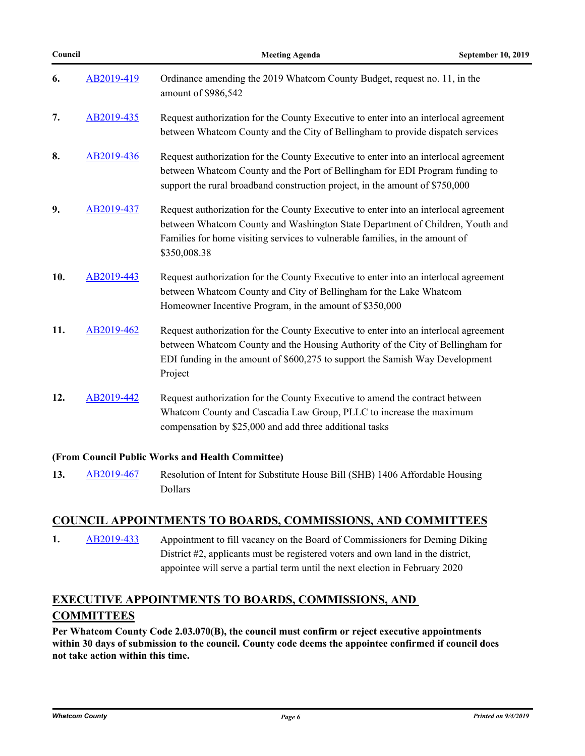| н  | п  |
|----|----|
| M. | ۰. |

| 6.  | AB2019-419 | Ordinance amending the 2019 Whatcom County Budget, request no. 11, in the<br>amount of \$986,542                                                                                                                                                                      |
|-----|------------|-----------------------------------------------------------------------------------------------------------------------------------------------------------------------------------------------------------------------------------------------------------------------|
| 7.  | AB2019-435 | Request authorization for the County Executive to enter into an interlocal agreement<br>between Whatcom County and the City of Bellingham to provide dispatch services                                                                                                |
| 8.  | AB2019-436 | Request authorization for the County Executive to enter into an interlocal agreement<br>between Whatcom County and the Port of Bellingham for EDI Program funding to<br>support the rural broadband construction project, in the amount of \$750,000                  |
| 9.  | AB2019-437 | Request authorization for the County Executive to enter into an interlocal agreement<br>between Whatcom County and Washington State Department of Children, Youth and<br>Families for home visiting services to vulnerable families, in the amount of<br>\$350,008.38 |
| 10. | AB2019-443 | Request authorization for the County Executive to enter into an interlocal agreement<br>between Whatcom County and City of Bellingham for the Lake Whatcom<br>Homeowner Incentive Program, in the amount of \$350,000                                                 |
| 11. | AB2019-462 | Request authorization for the County Executive to enter into an interlocal agreement<br>between Whatcom County and the Housing Authority of the City of Bellingham for<br>EDI funding in the amount of \$600,275 to support the Samish Way Development<br>Project     |
| 12. | AB2019-442 | Request authorization for the County Executive to amend the contract between<br>Whatcom County and Cascadia Law Group, PLLC to increase the maximum<br>compensation by \$25,000 and add three additional tasks                                                        |

#### **(From Council Public Works and Health Committee)**

13. [AB2019-467](http://whatcom.legistar.com/gateway.aspx?m=l&id=/matter.aspx?key=2524) Resolution of Intent for Substitute House Bill (SHB) 1406 Affordable Housing Dollars

#### **COUNCIL APPOINTMENTS TO BOARDS, COMMISSIONS, AND COMMITTEES**

**1.** [AB2019-433](http://whatcom.legistar.com/gateway.aspx?m=l&id=/matter.aspx?key=2484) Appointment to fill vacancy on the Board of Commissioners for Deming Diking District #2, applicants must be registered voters and own land in the district, appointee will serve a partial term until the next election in February 2020

## **EXECUTIVE APPOINTMENTS TO BOARDS, COMMISSIONS, AND COMMITTEES**

**Per Whatcom County Code 2.03.070(B), the council must confirm or reject executive appointments within 30 days of submission to the council. County code deems the appointee confirmed if council does not take action within this time.**